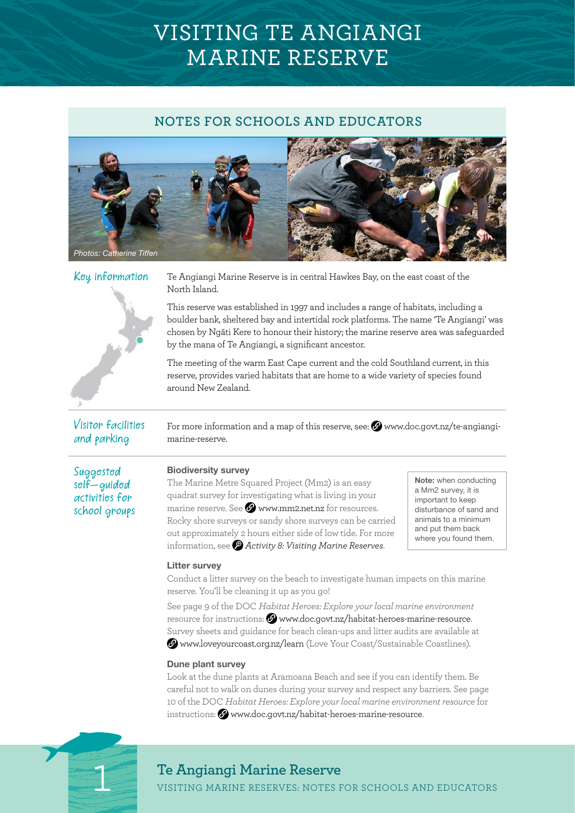# VISITING TE ANGIANGI MARINE RESERVE

# **NOTES FOR SCHOOLS AND EDUCATORS**





Visitor facilities and parking

 $\rm K$  $\rm \sigma$ y information Te Angiangi Marine Reserve is in central Hawkes Bay, on the east coast of the North Island.

> This reserve was established in 1997 and includes a range of habitats, including a boulder bank, sheltered bay and intertidal rock platforms. The name 'Te Angiangi' was chosen by Ngāti Kere to honour their history; the marine reserve area was safeguarded by the mana of Te Angiangi, a significant ancestor.

The meeting of the warm East Cape current and the cold Southland current, in this reserve, provides varied habitats that are home to a wide variety of species found around New Zealand.

For more information and a map of this reserve, see:  $\bullet$  [www.doc.govt.nz/te-angiangi](http://www.doc.govt.nz/te-angiangi-marine-reserve)[marine-reserve.](http://www.doc.govt.nz/te-angiangi-marine-reserve)

Suggested  $self-quided$ activities for school groups

### Biodiversity survey

The Marine Metre Squared Project (Mm2) is an easy quadrat survey for investigating what is living in your marine reserve. See  $\Omega$  [www.mm2.net.nz](https://www.mm2.net.nz/) for resources. Rocky shore surveys or sandy shore surveys can be carried out approximately 2 hours either side of low tide. For more information, see *[Activity 8: Visiting Marine Reserves](http://•	www.doc.govt.nz/documents/getting-involved/students-and-teachers/marine-reserves/activity-8)*.

Note: when conducting a Mm2 survey, it is important to keep disturbance of sand and animals to a minimum and put them back where you found them.

#### Litter survey

Conduct a litter survey on the beach to investigate human impacts on this marine reserve. You'll be cleaning it up as you go!

See page 9 of the DOC *Habitat Heroes: Explore your local marine environment*  resource for instructions: **W** [www.doc.govt.nz/habitat-heroes-marine-resource](http://www.doc.govt.nz/documents/getting-involved/students-and-teachers/habitat-heroes/habitat-heroes-education-resource-marine-spaces.pdf). Survey sheets and guidance for beach clean-ups and litter audits are available at [www.loveyourcoast.org.nz/learn](http://www.loveyourcoast.org.nz/learn) (Love Your Coast/Sustainable Coastlines).

#### Dune plant survey

Look at the dune plants at Aramoana Beach and see if you can identify them. Be careful not to walk on dunes during your survey and respect any barriers. See page 10 of the DOC *Habitat Heroes: Explore your local marine environment resource* for instructions: Www.doc.govt.nz/habitat-heroes-marine-resource.



# **Te Angiangi Marine Reserve**

1 VISITING MARINE RESERVES: NOTES FOR SCHOOLS AND EDUCATORS